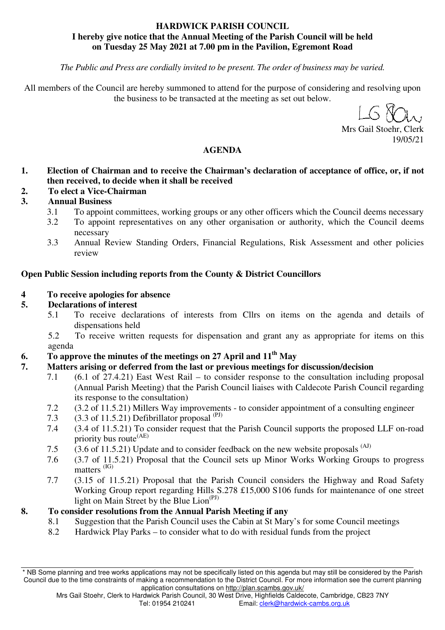## **HARDWICK PARISH COUNCIL I hereby give notice that the Annual Meeting of the Parish Council will be held on Tuesday 25 May 2021 at 7.00 pm in the Pavilion, Egremont Road**

*The Public and Press are cordially invited to be present. The order of business may be varied.* 

All members of the Council are hereby summoned to attend for the purpose of considering and resolving upon the business to be transacted at the meeting as set out below.

Mrs Gail Stoehr, Clerk 19/05/21

## **AGENDA**

- **1. Election of Chairman and to receive the Chairman's declaration of acceptance of office, or, if not then received, to decide when it shall be received**
- **2. To elect a Vice-Chairman**
- **3. Annual Business**
	- 3.1 To appoint committees, working groups or any other officers which the Council deems necessary
	- 3.2 To appoint representatives on any other organisation or authority, which the Council deems necessary
	- 3.3 Annual Review Standing Orders, Financial Regulations, Risk Assessment and other policies review

### **Open Public Session including reports from the County & District Councillors**

### **4 To receive apologies for absence**

## **5. Declarations of interest**

- 5.1 To receive declarations of interests from Cllrs on items on the agenda and details of dispensations held
- 5.2 To receive written requests for dispensation and grant any as appropriate for items on this agenda
- **6. To approve the minutes of the meetings on 27 April and 11th May**

## **7. Matters arising or deferred from the last or previous meetings for discussion/decision**

- 7.1 (6.1 of 27.4.21) East West Rail to consider response to the consultation including proposal (Annual Parish Meeting) that the Parish Council liaises with Caldecote Parish Council regarding its response to the consultation)
- 7.2 (3.2 of 11.5.21) Millers Way improvements to consider appointment of a consulting engineer
- 7.3  $(3.3 \text{ of } 11.5.21)$  Defibrillator proposal  $(PJ)$
- 7.4 (3.4 of 11.5.21) To consider request that the Parish Council supports the proposed LLF on-road priority bus route<sup>(AE)</sup>
- 7.5 (3.6 of 11.5.21) Update and to consider feedback on the new website proposals <sup>(AJ)</sup>
- 7.6 (3.7 of 11.5.21) Proposal that the Council sets up Minor Works Working Groups to progress matters (IG)
- 7.7 (3.15 of 11.5.21) Proposal that the Parish Council considers the Highway and Road Safety Working Group report regarding Hills S.278 £15,000 S106 funds for maintenance of one street light on Main Street by the Blue Lion<sup>(PJ)</sup>

## **8. To consider resolutions from the Annual Parish Meeting if any**

- 8.1 Suggestion that the Parish Council uses the Cabin at St Mary's for some Council meetings
	- 8.2 Hardwick Play Parks to consider what to do with residual funds from the project

<sup>\*</sup> NB Some planning and tree works applications may not be specifically listed on this agenda but may still be considered by the Parish Council due to the time constraints of making a recommendation to the District Council. For more information see the current planning application consultations on http://plan.scambs.gov.uk/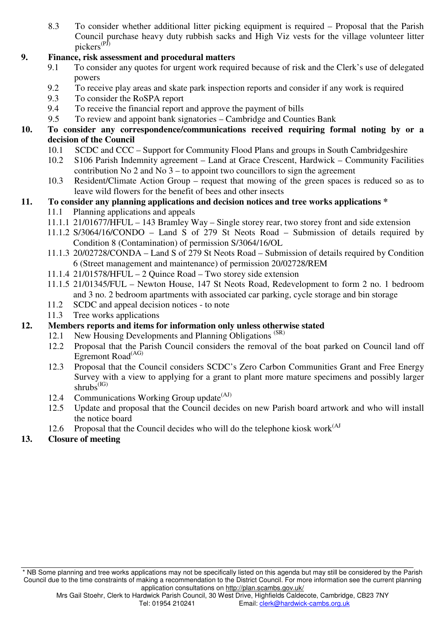8.3 To consider whether additional litter picking equipment is required – Proposal that the Parish Council purchase heavy duty rubbish sacks and High Viz vests for the village volunteer litter pickers<sup>(PJ)</sup>

## **9. Finance, risk assessment and procedural matters**

- 9.1 To consider any quotes for urgent work required because of risk and the Clerk's use of delegated powers
- 9.2 To receive play areas and skate park inspection reports and consider if any work is required
- 9.3 To consider the RoSPA report
- 9.4 To receive the financial report and approve the payment of bills
- 9.5 To review and appoint bank signatories Cambridge and Counties Bank
- **10. To consider any correspondence/communications received requiring formal noting by or a decision of the Council** 
	- 10.1 SCDC and CCC Support for Community Flood Plans and groups in South Cambridgeshire
	- 10.2 S106 Parish Indemnity agreement Land at Grace Crescent, Hardwick Community Facilities contribution No 2 and No  $3 -$  to appoint two councillors to sign the agreement
	- 10.3 Resident/Climate Action Group request that mowing of the green spaces is reduced so as to leave wild flowers for the benefit of bees and other insects

# **11. To consider any planning applications and decision notices and tree works applications \***

- 11.1 Planning applications and appeals
- 11.1.1 21/01677/HFUL 143 Bramley Way Single storey rear, two storey front and side extension
- 11.1.2 S/3064/16/CONDO Land S of 279 St Neots Road Submission of details required by Condition 8 (Contamination) of permission S/3064/16/OL
- 11.1.3 20/02728/CONDA Land S of 279 St Neots Road Submission of details required by Condition 6 (Street management and maintenance) of permission 20/02728/REM
- 11.1.4 21/01578/HFUL 2 Quince Road Two storey side extension
- 11.1.5 21/01345/FUL Newton House, 147 St Neots Road, Redevelopment to form 2 no. 1 bedroom and 3 no. 2 bedroom apartments with associated car parking, cycle storage and bin storage
- 11.2 SCDC and appeal decision notices to note
- 11.3 Tree works applications

# **12. Members reports and items for information only unless otherwise stated**

- 12.1 New Housing Developments and Planning Obligations<sup>(SR)</sup>
- 12.2 Proposal that the Parish Council considers the removal of the boat parked on Council land off Egremont Road<sup>(AG)</sup>
- 12.3 Proposal that the Council considers SCDC's Zero Carbon Communities Grant and Free Energy Survey with a view to applying for a grant to plant more mature specimens and possibly larger shrubs<sup>(IG)</sup>
- 12.4 Communications Working Group update $(A^{(A)})$
- 12.5 Update and proposal that the Council decides on new Parish board artwork and who will install the notice board
- 12.6 Proposal that the Council decides who will do the telephone kiosk work $(A)$

# **13. Closure of meeting**

<sup>\*</sup> NB Some planning and tree works applications may not be specifically listed on this agenda but may still be considered by the Parish Council due to the time constraints of making a recommendation to the District Council. For more information see the current planning application consultations on http://plan.scambs.gov.uk/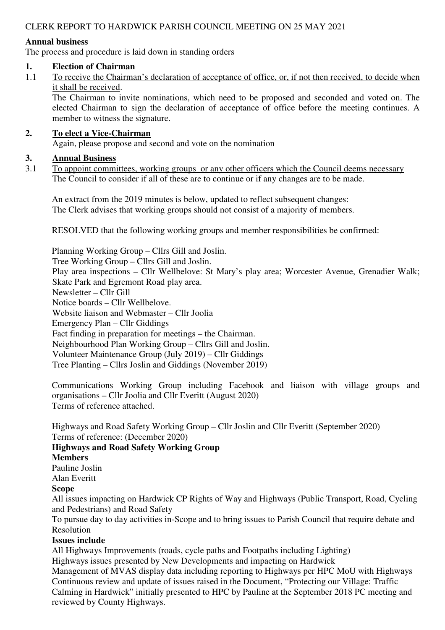## CLERK REPORT TO HARDWICK PARISH COUNCIL MEETING ON 25 MAY 2021

#### **Annual business**

The process and procedure is laid down in standing orders

#### **1. Election of Chairman**

1.1 To receive the Chairman's declaration of acceptance of office, or, if not then received, to decide when it shall be received.

The Chairman to invite nominations, which need to be proposed and seconded and voted on. The elected Chairman to sign the declaration of acceptance of office before the meeting continues. A member to witness the signature.

#### **2. To elect a Vice-Chairman**

Again, please propose and second and vote on the nomination

### **3. Annual Business**

3.1 To appoint committees, working groups or any other officers which the Council deems necessary The Council to consider if all of these are to continue or if any changes are to be made.

An extract from the 2019 minutes is below, updated to reflect subsequent changes: The Clerk advises that working groups should not consist of a majority of members.

RESOLVED that the following working groups and member responsibilities be confirmed:

Planning Working Group – Cllrs Gill and Joslin. Tree Working Group – Cllrs Gill and Joslin. Play area inspections – Cllr Wellbelove: St Mary's play area; Worcester Avenue, Grenadier Walk; Skate Park and Egremont Road play area. Newsletter – Cllr Gill Notice boards – Cllr Wellbelove. Website liaison and Webmaster – Cllr Joolia Emergency Plan – Cllr Giddings Fact finding in preparation for meetings – the Chairman. Neighbourhood Plan Working Group – Cllrs Gill and Joslin. Volunteer Maintenance Group (July 2019) – Cllr Giddings

Tree Planting – Cllrs Joslin and Giddings (November 2019)

Communications Working Group including Facebook and liaison with village groups and organisations – Cllr Joolia and Cllr Everitt (August 2020) Terms of reference attached.

Highways and Road Safety Working Group – Cllr Joslin and Cllr Everitt (September 2020) Terms of reference: (December 2020)

# **Highways and Road Safety Working Group**

**Members** 

Pauline Joslin

Alan Everitt

### **Scope**

All issues impacting on Hardwick CP Rights of Way and Highways (Public Transport, Road, Cycling and Pedestrians) and Road Safety

To pursue day to day activities in-Scope and to bring issues to Parish Council that require debate and Resolution

#### **Issues include**

All Highways Improvements (roads, cycle paths and Footpaths including Lighting)

Highways issues presented by New Developments and impacting on Hardwick

Management of MVAS display data including reporting to Highways per HPC MoU with Highways Continuous review and update of issues raised in the Document, "Protecting our Village: Traffic Calming in Hardwick" initially presented to HPC by Pauline at the September 2018 PC meeting and reviewed by County Highways.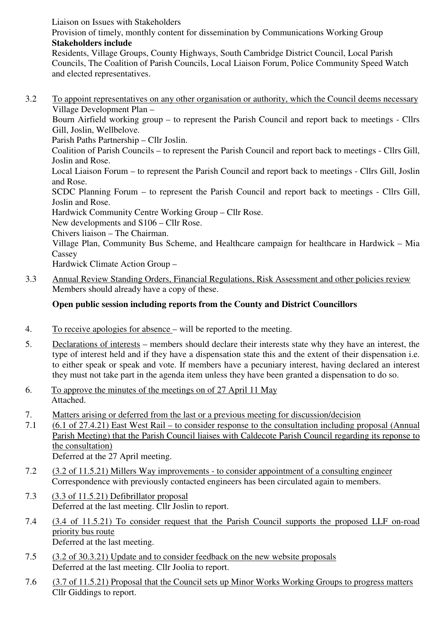Liaison on Issues with Stakeholders

Provision of timely, monthly content for dissemination by Communications Working Group **Stakeholders include** 

Residents, Village Groups, County Highways, South Cambridge District Council, Local Parish Councils, The Coalition of Parish Councils, Local Liaison Forum, Police Community Speed Watch and elected representatives.

3.2 To appoint representatives on any other organisation or authority, which the Council deems necessary Village Development Plan –

Bourn Airfield working group – to represent the Parish Council and report back to meetings - Cllrs Gill, Joslin, Wellbelove.

Parish Paths Partnership – Cllr Joslin.

Coalition of Parish Councils – to represent the Parish Council and report back to meetings - Cllrs Gill, Joslin and Rose.

Local Liaison Forum – to represent the Parish Council and report back to meetings - Cllrs Gill, Joslin and Rose.

SCDC Planning Forum – to represent the Parish Council and report back to meetings - Cllrs Gill, Joslin and Rose.

Hardwick Community Centre Working Group – Cllr Rose.

New developments and S106 – Cllr Rose.

Chivers liaison – The Chairman.

Village Plan, Community Bus Scheme, and Healthcare campaign for healthcare in Hardwick – Mia **Cassey** 

Hardwick Climate Action Group –

3.3 Annual Review Standing Orders, Financial Regulations, Risk Assessment and other policies review Members should already have a copy of these.

## **Open public session including reports from the County and District Councillors**

- 4. To receive apologies for absence will be reported to the meeting.
- 5. Declarations of interests members should declare their interests state why they have an interest, the type of interest held and if they have a dispensation state this and the extent of their dispensation i.e. to either speak or speak and vote. If members have a pecuniary interest, having declared an interest they must not take part in the agenda item unless they have been granted a dispensation to do so.
- 6. To approve the minutes of the meetings on of 27 April 11 May Attached.
- 7. Matters arising or deferred from the last or a previous meeting for discussion/decision
- 7.1 (6.1 of 27.4.21) East West Rail to consider response to the consultation including proposal (Annual Parish Meeting) that the Parish Council liaises with Caldecote Parish Council regarding its reponse to the consultation) Deferred at the 27 April meeting.

- 7.2 (3.2 of 11.5.21) Millers Way improvements to consider appointment of a consulting engineer Correspondence with previously contacted engineers has been circulated again to members.
- 7.3 (3.3 of 11.5.21) Defibrillator proposal Deferred at the last meeting. Cllr Joslin to report.
- 7.4 (3.4 of 11.5.21) To consider request that the Parish Council supports the proposed LLF on-road priority bus route Deferred at the last meeting.
- 7.5 (3.2 of 30.3.21) Update and to consider feedback on the new website proposals Deferred at the last meeting. Cllr Joolia to report.
- 7.6 (3.7 of 11.5.21) Proposal that the Council sets up Minor Works Working Groups to progress matters Cllr Giddings to report.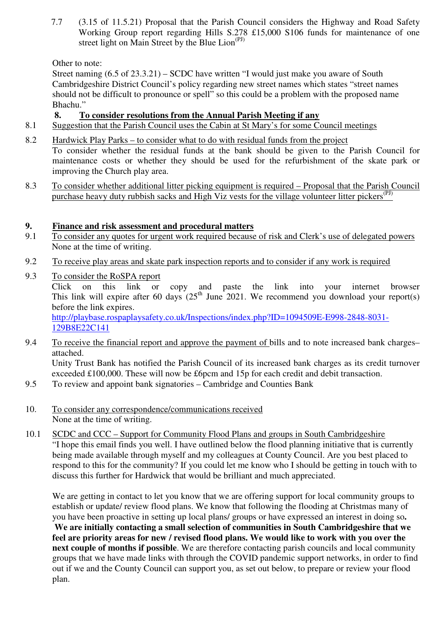7.7 (3.15 of 11.5.21) Proposal that the Parish Council considers the Highway and Road Safety Working Group report regarding Hills S.278 £15,000 S106 funds for maintenance of one street light on Main Street by the Blue Lion<sup>(PJ)</sup>

Other to note:

Street naming (6.5 of 23.3.21) – SCDC have written "I would just make you aware of South Cambridgeshire District Council's policy regarding new street names which states "street names should not be difficult to pronounce or spell" so this could be a problem with the proposed name Bhachu."

## **8. To consider resolutions from the Annual Parish Meeting if any**

- 8.1 Suggestion that the Parish Council uses the Cabin at St Mary's for some Council meetings
- 8.2 Hardwick Play Parks to consider what to do with residual funds from the project To consider whether the residual funds at the bank should be given to the Parish Council for maintenance costs or whether they should be used for the refurbishment of the skate park or improving the Church play area.
- 8.3 To consider whether additional litter picking equipment is required Proposal that the Parish Council purchase heavy duty rubbish sacks and High Viz vests for the village volunteer litter pickers<sup> $(PJ)$ </sup>

## **9. Finance and risk assessment and procedural matters**

- 9.1 To consider any quotes for urgent work required because of risk and Clerk's use of delegated powers None at the time of writing.
- 9.2 To receive play areas and skate park inspection reports and to consider if any work is required
- 9.3 To consider the RoSPA report Click on this link or copy and paste the link into your internet browser This link will expire after 60 days  $(25<sup>th</sup>$  June 2021. We recommend you download your report(s) before the link expires. http://playbase.rospaplaysafety.co.uk/Inspections/index.php?ID=1094509E-E998-2848-8031- 129B8E22C141
- 9.4 To receive the financial report and approve the payment of bills and to note increased bank charges– attached. Unity Trust Bank has notified the Parish Council of its increased bank charges as its credit turnover exceeded £100,000. These will now be £6pcm and 15p for each credit and debit transaction.
- 9.5 To review and appoint bank signatories Cambridge and Counties Bank
- 10. To consider any correspondence/communications received None at the time of writing.
- 10.1 SCDC and CCC Support for Community Flood Plans and groups in South Cambridgeshire "I hope this email finds you well. I have outlined below the flood planning initiative that is currently being made available through myself and my colleagues at County Council. Are you best placed to respond to this for the community? If you could let me know who I should be getting in touch with to discuss this further for Hardwick that would be brilliant and much appreciated.

We are getting in contact to let you know that we are offering support for local community groups to establish or update/ review flood plans. We know that following the flooding at Christmas many of you have been proactive in setting up local plans/ groups or have expressed an interest in doing so**. We are initially contacting a small selection of communities in South Cambridgeshire that we feel are priority areas for new / revised flood plans. We would like to work with you over the next couple of months if possible**. We are therefore contacting parish councils and local community groups that we have made links with through the COVID pandemic support networks, in order to find out if we and the County Council can support you, as set out below, to prepare or review your flood plan.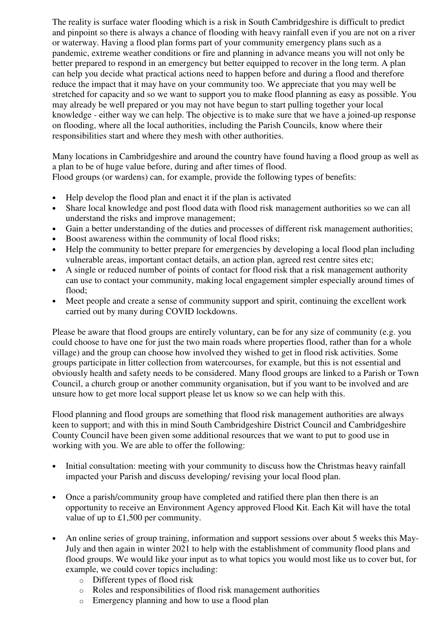The reality is surface water flooding which is a risk in South Cambridgeshire is difficult to predict and pinpoint so there is always a chance of flooding with heavy rainfall even if you are not on a river or waterway. Having a flood plan forms part of your community emergency plans such as a pandemic, extreme weather conditions or fire and planning in advance means you will not only be better prepared to respond in an emergency but better equipped to recover in the long term. A plan can help you decide what practical actions need to happen before and during a flood and therefore reduce the impact that it may have on your community too. We appreciate that you may well be stretched for capacity and so we want to support you to make flood planning as easy as possible. You may already be well prepared or you may not have begun to start pulling together your local knowledge - either way we can help. The objective is to make sure that we have a joined-up response on flooding, where all the local authorities, including the Parish Councils, know where their responsibilities start and where they mesh with other authorities.

Many locations in Cambridgeshire and around the country have found having a flood group as well as a plan to be of huge value before, during and after times of flood. Flood groups (or wardens) can, for example, provide the following types of benefits:

- Help develop the flood plan and enact it if the plan is activated
- Share local knowledge and post flood data with flood risk management authorities so we can all understand the risks and improve management;
- Gain a better understanding of the duties and processes of different risk management authorities;
- Boost awareness within the community of local flood risks;
- Help the community to better prepare for emergencies by developing a local flood plan including vulnerable areas, important contact details, an action plan, agreed rest centre sites etc;
- A single or reduced number of points of contact for flood risk that a risk management authority can use to contact your community, making local engagement simpler especially around times of flood;
- Meet people and create a sense of community support and spirit, continuing the excellent work carried out by many during COVID lockdowns.

Please be aware that flood groups are entirely voluntary, can be for any size of community (e.g. you could choose to have one for just the two main roads where properties flood, rather than for a whole village) and the group can choose how involved they wished to get in flood risk activities. Some groups participate in litter collection from watercourses, for example, but this is not essential and obviously health and safety needs to be considered. Many flood groups are linked to a Parish or Town Council, a church group or another community organisation, but if you want to be involved and are unsure how to get more local support please let us know so we can help with this.

Flood planning and flood groups are something that flood risk management authorities are always keen to support; and with this in mind South Cambridgeshire District Council and Cambridgeshire County Council have been given some additional resources that we want to put to good use in working with you. We are able to offer the following:

- Initial consultation: meeting with your community to discuss how the Christmas heavy rainfall impacted your Parish and discuss developing/ revising your local flood plan.
- Once a parish/community group have completed and ratified there plan then there is an opportunity to receive an Environment Agency approved Flood Kit. Each Kit will have the total value of up to £1,500 per community.
- An online series of group training, information and support sessions over about 5 weeks this May-July and then again in winter 2021 to help with the establishment of community flood plans and flood groups. We would like your input as to what topics you would most like us to cover but, for example, we could cover topics including:
	- o Different types of flood risk
	- o Roles and responsibilities of flood risk management authorities
	- o Emergency planning and how to use a flood plan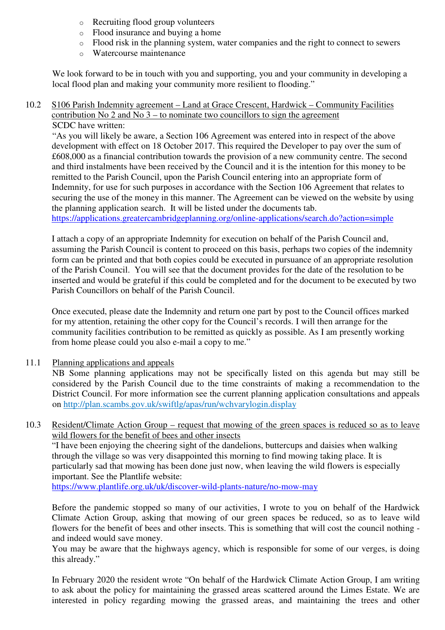- o Recruiting flood group volunteers
- o Flood insurance and buying a home
- o Flood risk in the planning system, water companies and the right to connect to sewers
- o Watercourse maintenance

We look forward to be in touch with you and supporting, you and your community in developing a local flood plan and making your community more resilient to flooding."

#### 10.2 S106 Parish Indemnity agreement – Land at Grace Crescent, Hardwick – Community Facilities contribution No 2 and No  $3 -$  to nominate two councillors to sign the agreement SCDC have written:

"As you will likely be aware, a Section 106 Agreement was entered into in respect of the above development with effect on 18 October 2017. This required the Developer to pay over the sum of £608,000 as a financial contribution towards the provision of a new community centre. The second and third instalments have been received by the Council and it is the intention for this money to be remitted to the Parish Council, upon the Parish Council entering into an appropriate form of Indemnity, for use for such purposes in accordance with the Section 106 Agreement that relates to securing the use of the money in this manner. The Agreement can be viewed on the website by using the planning application search. It will be listed under the documents tab. https://applications.greatercambridgeplanning.org/online-applications/search.do?action=simple

I attach a copy of an appropriate Indemnity for execution on behalf of the Parish Council and, assuming the Parish Council is content to proceed on this basis, perhaps two copies of the indemnity form can be printed and that both copies could be executed in pursuance of an appropriate resolution of the Parish Council. You will see that the document provides for the date of the resolution to be inserted and would be grateful if this could be completed and for the document to be executed by two Parish Councillors on behalf of the Parish Council.

Once executed, please date the Indemnity and return one part by post to the Council offices marked for my attention, retaining the other copy for the Council's records. I will then arrange for the community facilities contribution to be remitted as quickly as possible. As I am presently working from home please could you also e-mail a copy to me."

11.1 Planning applications and appeals

NB Some planning applications may not be specifically listed on this agenda but may still be considered by the Parish Council due to the time constraints of making a recommendation to the District Council. For more information see the current planning application consultations and appeals on http://plan.scambs.gov.uk/swiftlg/apas/run/wchvarylogin.display

10.3 Resident/Climate Action Group – request that mowing of the green spaces is reduced so as to leave wild flowers for the benefit of bees and other insects

"I have been enjoying the cheering sight of the dandelions, buttercups and daisies when walking through the village so was very disappointed this morning to find mowing taking place. It is particularly sad that mowing has been done just now, when leaving the wild flowers is especially important. See the Plantlife website:

https://www.plantlife.org.uk/uk/discover-wild-plants-nature/no-mow-may

Before the pandemic stopped so many of our activities, I wrote to you on behalf of the Hardwick Climate Action Group, asking that mowing of our green spaces be reduced, so as to leave wild flowers for the benefit of bees and other insects. This is something that will cost the council nothing and indeed would save money.

You may be aware that the highways agency, which is responsible for some of our verges, is doing this already."

In February 2020 the resident wrote "On behalf of the Hardwick Climate Action Group, I am writing to ask about the policy for maintaining the grassed areas scattered around the Limes Estate. We are interested in policy regarding mowing the grassed areas, and maintaining the trees and other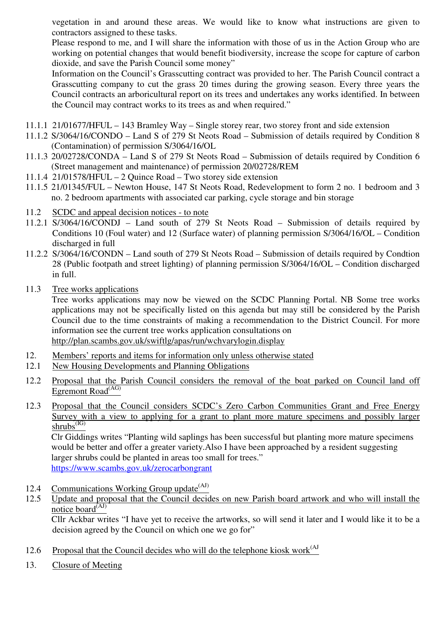vegetation in and around these areas. We would like to know what instructions are given to contractors assigned to these tasks.

Please respond to me, and I will share the information with those of us in the Action Group who are working on potential changes that would benefit biodiversity, increase the scope for capture of carbon dioxide, and save the Parish Council some money"

Information on the Council's Grasscutting contract was provided to her. The Parish Council contract a Grasscutting company to cut the grass 20 times during the growing season. Every three years the Council contracts an arboricultural report on its trees and undertakes any works identified. In between the Council may contract works to its trees as and when required."

- 11.1.1 21/01677/HFUL 143 Bramley Way Single storey rear, two storey front and side extension
- 11.1.2 S/3064/16/CONDO Land S of 279 St Neots Road Submission of details required by Condition 8 (Contamination) of permission S/3064/16/OL
- 11.1.3 20/02728/CONDA Land S of 279 St Neots Road Submission of details required by Condition 6 (Street management and maintenance) of permission 20/02728/REM
- 11.1.4 21/01578/HFUL 2 Quince Road Two storey side extension
- 11.1.5 21/01345/FUL Newton House, 147 St Neots Road, Redevelopment to form 2 no. 1 bedroom and 3 no. 2 bedroom apartments with associated car parking, cycle storage and bin storage
- 11.2 SCDC and appeal decision notices to note
- 11.2.1 S/3064/16/CONDJ Land south of 279 St Neots Road Submission of details required by Conditions 10 (Foul water) and 12 (Surface water) of planning permission S/3064/16/OL – Condition discharged in full
- 11.2.2 S/3064/16/CONDN Land south of 279 St Neots Road Submission of details required by Condtion 28 (Public footpath and street lighting) of planning permission S/3064/16/OL – Condition discharged in full.
- 11.3 Tree works applications

Tree works applications may now be viewed on the SCDC Planning Portal. NB Some tree works applications may not be specifically listed on this agenda but may still be considered by the Parish Council due to the time constraints of making a recommendation to the District Council. For more information see the current tree works application consultations on http://plan.scambs.gov.uk/swiftlg/apas/run/wchvarylogin.display

- 12. Members' reports and items for information only unless otherwise stated
- 12.1 New Housing Developments and Planning Obligations
- 12.2 Proposal that the Parish Council considers the removal of the boat parked on Council land off Egremont  $\text{Road}^{\text{(AG)}}$
- 12.3 Proposal that the Council considers SCDC's Zero Carbon Communities Grant and Free Energy Survey with a view to applying for a grant to plant more mature specimens and possibly larger  $\frac{1}{\text{shrubs}}$ <sup>(IG)</sup>

Clr Giddings writes "Planting wild saplings has been successful but planting more mature specimens would be better and offer a greater variety.Also I have been approached by a resident suggesting larger shrubs could be planted in areas too small for trees." https://www.scambs.gov.uk/zerocarbongrant

- 12.4 Communications Working Group update  $(A<sup>J</sup>)$
- 12.5 Update and proposal that the Council decides on new Parish board artwork and who will install the notice board $(AJ)$

Cllr Ackbar writes "I have yet to receive the artworks, so will send it later and I would like it to be a decision agreed by the Council on which one we go for"

- 12.6 Proposal that the Council decides who will do the telephone kiosk work<sup>(AJ</sup>)
- 13. Closure of Meeting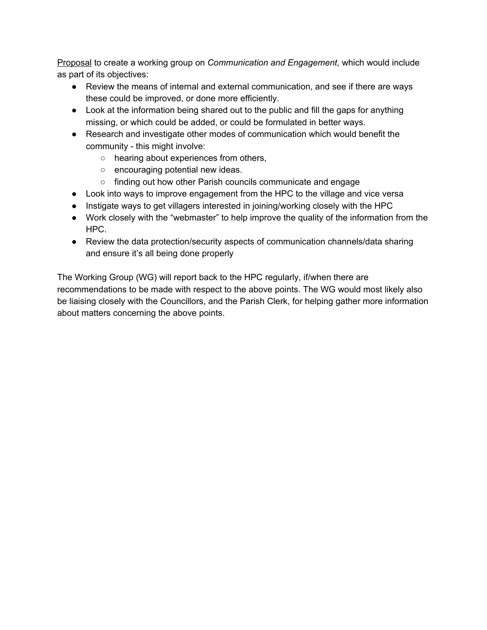Proposal to create a working group on *Communication and Engagement*, which would include as part of its objectives:

- Review the means of internal and external communication, and see if there are ways these could be improved, or done more efficiently.
- Look at the information being shared out to the public and fill the gaps for anything missing, or which could be added, or could be formulated in better ways.
- Research and investigate other modes of communication which would benefit the community - this might involve:
	- hearing about experiences from others,
	- encouraging potential new ideas.
	- finding out how other Parish councils communicate and engage
- Look into ways to improve engagement from the HPC to the village and vice versa
- Instigate ways to get villagers interested in joining/working closely with the HPC
- Work closely with the "webmaster" to help improve the quality of the information from the HPC.
- Review the data protection/security aspects of communication channels/data sharing and ensure it's all being done properly

The Working Group (WG) will report back to the HPC regularly, if/when there are recommendations to be made with respect to the above points. The WG would most likely also be liaising closely with the Councillors, and the Parish Clerk, for helping gather more information about matters concerning the above points.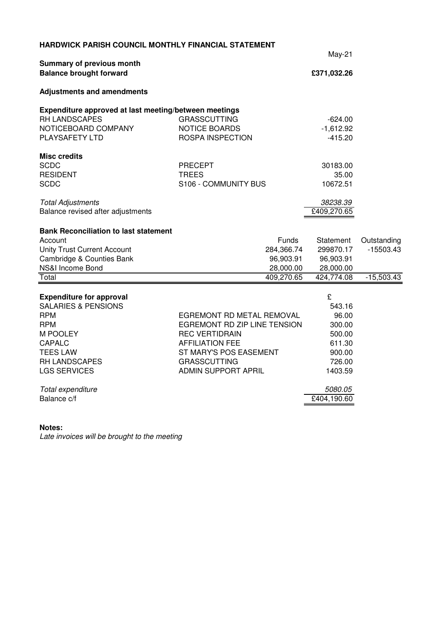| <b>HARDWICK PARISH COUNCIL MONTHLY FINANCIAL STATEMENT</b>         |                              |             |              |  |
|--------------------------------------------------------------------|------------------------------|-------------|--------------|--|
|                                                                    |                              | $May-21$    |              |  |
| <b>Summary of previous month</b><br><b>Balance brought forward</b> |                              | £371,032.26 |              |  |
| <b>Adjustments and amendments</b>                                  |                              |             |              |  |
| Expenditure approved at last meeting/between meetings              |                              |             |              |  |
| RH LANDSCAPES                                                      | <b>GRASSCUTTING</b>          | $-624.00$   |              |  |
| NOTICEBOARD COMPANY                                                | <b>NOTICE BOARDS</b>         | $-1,612.92$ |              |  |
| PLAYSAFETY LTD                                                     | <b>ROSPA INSPECTION</b>      | $-415.20$   |              |  |
| <b>Misc credits</b>                                                |                              |             |              |  |
| <b>SCDC</b>                                                        | <b>PRECEPT</b>               | 30183.00    |              |  |
| <b>RESIDENT</b>                                                    | <b>TREES</b>                 | 35.00       |              |  |
| <b>SCDC</b>                                                        | S106 - COMMUNITY BUS         | 10672.51    |              |  |
| <b>Total Adjustments</b>                                           |                              | 38238.39    |              |  |
| Balance revised after adjustments                                  |                              | £409,270.65 |              |  |
| <b>Bank Reconciliation to last statement</b>                       |                              |             |              |  |
| Account                                                            | Funds                        | Statement   | Outstanding  |  |
| <b>Unity Trust Current Account</b>                                 | 284,366.74                   | 299870.17   | $-15503.43$  |  |
| Cambridge & Counties Bank                                          | 96,903.91                    | 96,903.91   |              |  |
| NS&I Income Bond                                                   | 28,000.00                    | 28,000.00   |              |  |
| Total                                                              | 409,270.65                   | 424,774.08  | $-15,503.43$ |  |
| <b>Expenditure for approval</b>                                    |                              | £           |              |  |
| <b>SALARIES &amp; PENSIONS</b>                                     |                              | 543.16      |              |  |
| <b>RPM</b>                                                         | EGREMONT RD METAL REMOVAL    | 96.00       |              |  |
| <b>RPM</b>                                                         | EGREMONT RD ZIP LINE TENSION | 300.00      |              |  |
| M POOLEY                                                           | <b>REC VERTIDRAIN</b>        | 500.00      |              |  |
| CAPALC                                                             | <b>AFFILIATION FEE</b>       | 611.30      |              |  |
| <b>TEES LAW</b>                                                    | ST MARY'S POS EASEMENT       | 900.00      |              |  |
| <b>RH LANDSCAPES</b>                                               | <b>GRASSCUTTING</b>          | 726.00      |              |  |
| <b>LGS SERVICES</b>                                                | <b>ADMIN SUPPORT APRIL</b>   | 1403.59     |              |  |
| Total expenditure                                                  |                              | 5080.05     |              |  |
| Balance c/f                                                        |                              | £404,190.60 |              |  |
|                                                                    |                              |             |              |  |

#### **Notes:**

Late invoices will be brought to the meeting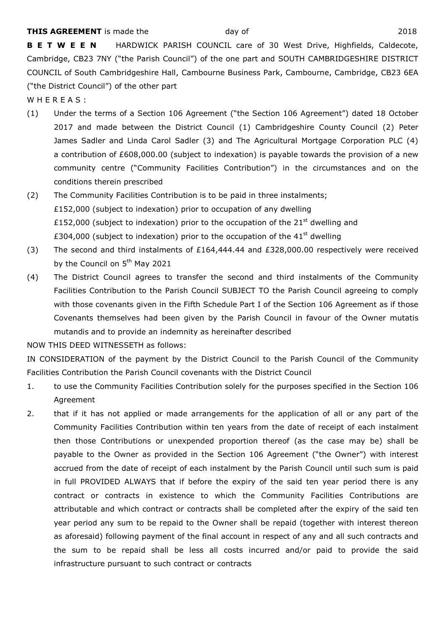**B E T W E E N** HARDWICK PARISH COUNCIL care of 30 West Drive, Highfields, Caldecote, Cambridge, CB23 7NY ("the Parish Council") of the one part and SOUTH CAMBRIDGESHIRE DISTRICT COUNCIL of South Cambridgeshire Hall, Cambourne Business Park, Cambourne, Cambridge, CB23 6EA ("the District Council") of the other part

WHEREAS:

- (1) Under the terms of a Section 106 Agreement ("the Section 106 Agreement") dated 18 October 2017 and made between the District Council (1) Cambridgeshire County Council (2) Peter James Sadler and Linda Carol Sadler (3) and The Agricultural Mortgage Corporation PLC (4) a contribution of £608,000.00 (subject to indexation) is payable towards the provision of a new community centre ("Community Facilities Contribution") in the circumstances and on the conditions therein prescribed
- (2) The Community Facilities Contribution is to be paid in three instalments; £152,000 (subject to indexation) prior to occupation of any dwelling £152,000 (subject to indexation) prior to the occupation of the  $21<sup>st</sup>$  dwelling and £304,000 (subject to indexation) prior to the occupation of the  $41<sup>st</sup>$  dwelling
- (3) The second and third instalments of £164,444.44 and £328,000.00 respectively were received by the Council on 5<sup>th</sup> May 2021
- (4) The District Council agrees to transfer the second and third instalments of the Community Facilities Contribution to the Parish Council SUBJECT TO the Parish Council agreeing to comply with those covenants given in the Fifth Schedule Part I of the Section 106 Agreement as if those Covenants themselves had been given by the Parish Council in favour of the Owner mutatis mutandis and to provide an indemnity as hereinafter described

NOW THIS DEED WITNESSETH as follows:

IN CONSIDERATION of the payment by the District Council to the Parish Council of the Community Facilities Contribution the Parish Council covenants with the District Council

- 1. to use the Community Facilities Contribution solely for the purposes specified in the Section 106 Agreement
- 2. that if it has not applied or made arrangements for the application of all or any part of the Community Facilities Contribution within ten years from the date of receipt of each instalment then those Contributions or unexpended proportion thereof (as the case may be) shall be payable to the Owner as provided in the Section 106 Agreement ("the Owner") with interest accrued from the date of receipt of each instalment by the Parish Council until such sum is paid in full PROVIDED ALWAYS that if before the expiry of the said ten year period there is any contract or contracts in existence to which the Community Facilities Contributions are attributable and which contract or contracts shall be completed after the expiry of the said ten year period any sum to be repaid to the Owner shall be repaid (together with interest thereon as aforesaid) following payment of the final account in respect of any and all such contracts and the sum to be repaid shall be less all costs incurred and/or paid to provide the said infrastructure pursuant to such contract or contracts